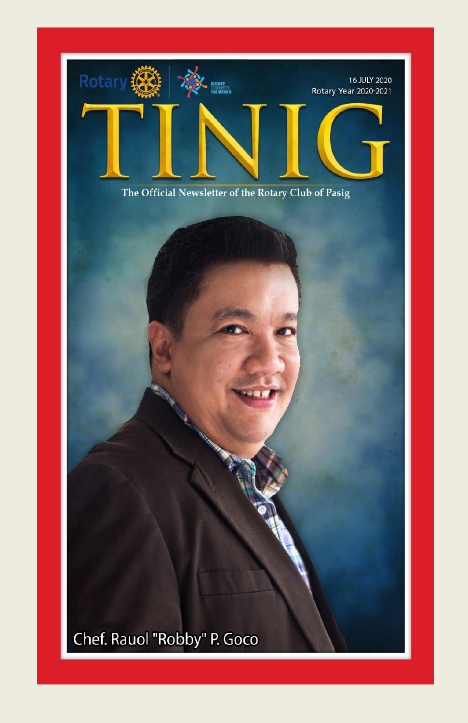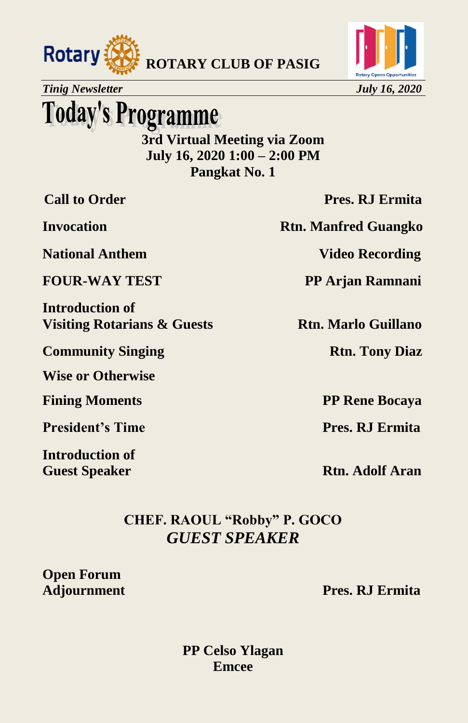



**Today's Programme** 

**3rd Virtual Meeting via Zoom July 16, 2020 1:00 – 2:00 PM Pangkat No. 1**

**National Anthem Video Recording** 

**Introduction of Visiting Rotarians & Guests Rtn. Marlo Guillano** 

**Community Singing Rtn. Tony Diaz** 

**Wise or Otherwise**

**Fining Moments** PP Rene Bocaya

**President's Time Pres. RJ Ermita** 

**Introduction of**

**Call to Order Pres. RJ Ermita** 

**Invocation Rtn. Manfred Guangko** 

**FOUR-WAY TEST PP Arjan Ramnani** 

**Guest Speaker Rtn. Adolf Aran** 

**CHEF. RAOUL "Robby" P. GOCO** *GUEST SPEAKER*

**Open Forum**

**Adjournment Pres. RJ Ermita**

**PP Celso Ylagan Emcee**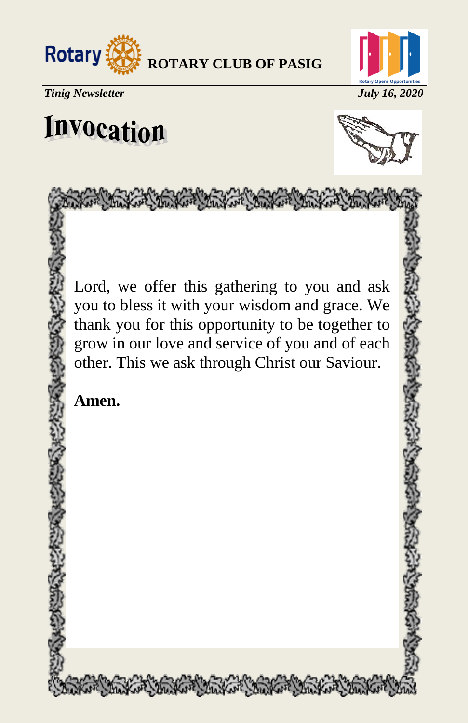



# Invocation



Lord, we offer this gathering to you and ask you to bless it with your wisdom and grace. We thank you for this opportunity to be together to grow in our love and service of you and of each other. This we ask through Christ our Saviour.

STONE The Mary Steel Steel Steel Steel Steel

**Amen.**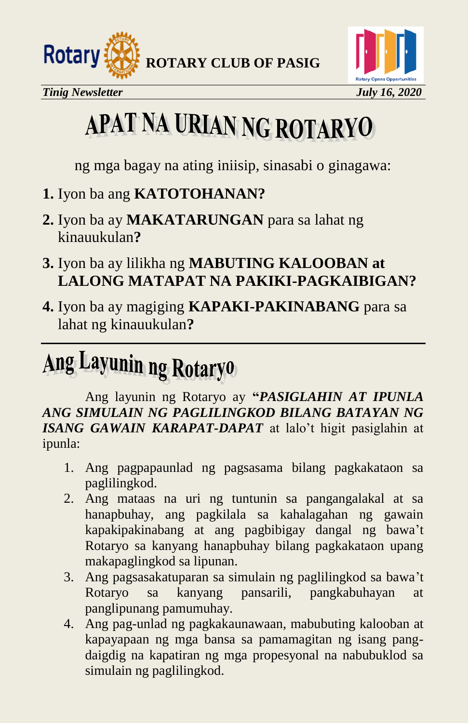





# APAT NA URIAN NG ROTARYO

ng mga bagay na ating iniisip, sinasabi o ginagawa:

- **1.** Iyon ba ang **KATOTOHANAN?**
- **2.** Iyon ba ay **MAKATARUNGAN** para sa lahat ng kinauukulan**?**
- **3.** Iyon ba ay lilikha ng **MABUTING KALOOBAN at LALONG MATAPAT NA PAKIKI-PAGKAIBIGAN?**
- **4.** Iyon ba ay magiging **KAPAKI-PAKINABANG** para sa lahat ng kinauukulan**?**

# Ang Layunin ng Rotaryo

Ang layunin ng Rotaryo ay **"***PASIGLAHIN AT IPUNLA ANG SIMULAIN NG PAGLILINGKOD BILANG BATAYAN NG ISANG GAWAIN KARAPAT-DAPAT* at lalo't higit pasiglahin at ipunla:

- 1. Ang pagpapaunlad ng pagsasama bilang pagkakataon sa paglilingkod.
- 2. Ang mataas na uri ng tuntunin sa pangangalakal at sa hanapbuhay, ang pagkilala sa kahalagahan ng gawain kapakipakinabang at ang pagbibigay dangal ng bawa't Rotaryo sa kanyang hanapbuhay bilang pagkakataon upang makapaglingkod sa lipunan.
- 3. Ang pagsasakatuparan sa simulain ng paglilingkod sa bawa't Rotaryo sa kanyang pansarili, pangkabuhayan at panglipunang pamumuhay.
- 4. Ang pag-unlad ng pagkakaunawaan, mabubuting kalooban at kapayapaan ng mga bansa sa pamamagitan ng isang pangdaigdig na kapatiran ng mga propesyonal na nabubuklod sa simulain ng paglilingkod.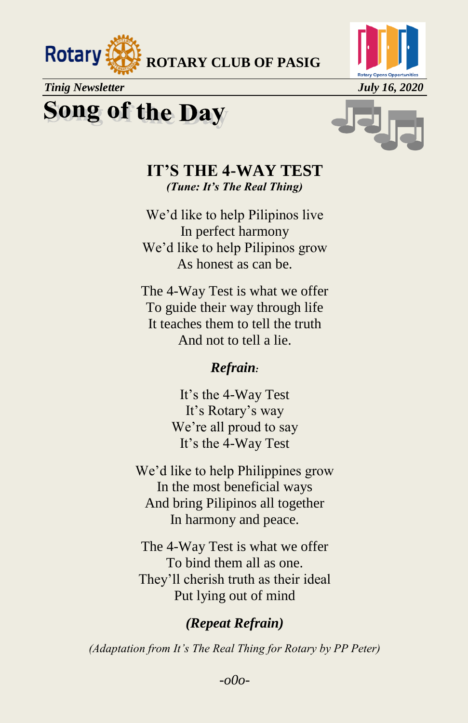

### **Song of the Day**



#### **IT'S THE 4-WAY TEST**  *(Tune: It's The Real Thing)*

We'd like to help Pilipinos live In perfect harmony We'd like to help Pilipinos grow As honest as can be.

The 4-Way Test is what we offer To guide their way through life It teaches them to tell the truth And not to tell a lie.

#### *Refrain:*

It's the 4-Way Test It's Rotary's way We're all proud to say It's the 4-Way Test

We'd like to help Philippines grow In the most beneficial ways And bring Pilipinos all together In harmony and peace.

The 4-Way Test is what we offer To bind them all as one. They'll cherish truth as their ideal Put lying out of mind

#### *(Repeat Refrain)*

*(Adaptation from It's The Real Thing for Rotary by PP Peter)*

*-o0o-*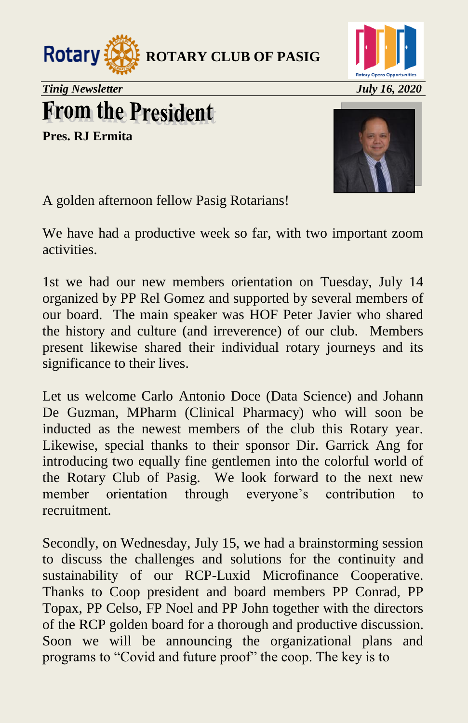



## **From the President**

**Pres. RJ Ermita**



A golden afternoon fellow Pasig Rotarians!

We have had a productive week so far, with two important zoom activities.

1st we had our new members orientation on Tuesday, July 14 organized by PP Rel Gomez and supported by several members of our board. The main speaker was HOF Peter Javier who shared the history and culture (and irreverence) of our club. Members present likewise shared their individual rotary journeys and its significance to their lives.

Let us welcome Carlo Antonio Doce (Data Science) and Johann De Guzman, MPharm (Clinical Pharmacy) who will soon be inducted as the newest members of the club this Rotary year. Likewise, special thanks to their sponsor Dir. Garrick Ang for introducing two equally fine gentlemen into the colorful world of the Rotary Club of Pasig. We look forward to the next new member orientation through everyone's contribution to recruitment.

Secondly, on Wednesday, July 15, we had a brainstorming session to discuss the challenges and solutions for the continuity and sustainability of our RCP-Luxid Microfinance Cooperative. Thanks to Coop president and board members PP Conrad, PP Topax, PP Celso, FP Noel and PP John together with the directors of the RCP golden board for a thorough and productive discussion. Soon we will be announcing the organizational plans and programs to "Covid and future proof" the coop. The key is to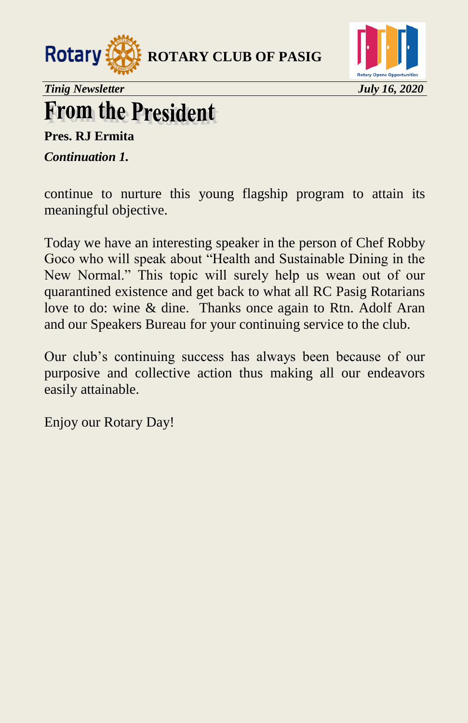



## **From the President**

**Pres. RJ Ermita**

*Continuation 1.* 

continue to nurture this young flagship program to attain its meaningful objective.

Today we have an interesting speaker in the person of Chef Robby Goco who will speak about "Health and Sustainable Dining in the New Normal." This topic will surely help us wean out of our quarantined existence and get back to what all RC Pasig Rotarians love to do: wine & dine. Thanks once again to Rtn. Adolf Aran and our Speakers Bureau for your continuing service to the club.

Our club's continuing success has always been because of our purposive and collective action thus making all our endeavors easily attainable.

Enjoy our Rotary Day!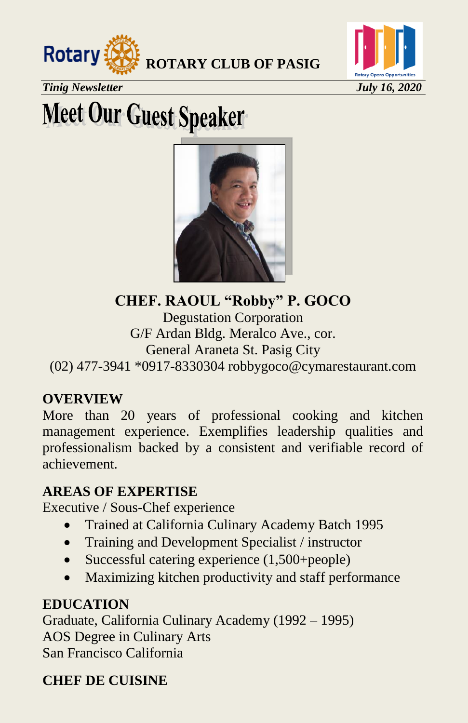



*Tinig Newsletter July 16, 2020*

# **Meet Our Guest Speaker**



**CHEF. RAOUL "Robby" P. GOCO**

Degustation Corporation G/F Ardan Bldg. Meralco Ave., cor. General Araneta St. Pasig City (02) 477-3941 \*0917-8330304 [robbygoco@cymarestaurant.com](mailto:robbygoco@cymarestaurant.com)

#### **OVERVIEW**

More than 20 years of professional cooking and kitchen management experience. Exemplifies leadership qualities and professionalism backed by a consistent and verifiable record of achievement.

#### **AREAS OF EXPERTISE**

Executive / Sous-Chef experience

- Trained at California Culinary Academy Batch 1995
- Training and Development Specialist / instructor
- Successful catering experience (1,500+people)
- Maximizing kitchen productivity and staff performance

#### **EDUCATION**

Graduate, California Culinary Academy (1992 – 1995) AOS Degree in Culinary Arts San Francisco California

### **CHEF DE CUISINE**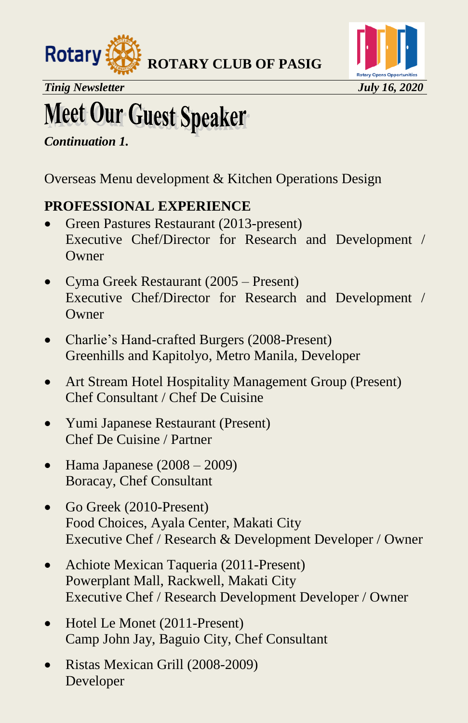



*Tinig Newsletter July 16, 2020* 

# **Meet Our Guest Speaker**

*Continuation 1.* 

Overseas Menu development & Kitchen Operations Design

#### **PROFESSIONAL EXPERIENCE**

- Green Pastures Restaurant (2013-present) Executive Chef/Director for Research and Development / **Owner**
- Cyma Greek Restaurant (2005 Present) Executive Chef/Director for Research and Development / **Owner**
- Charlie's Hand-crafted Burgers (2008-Present) Greenhills and Kapitolyo, Metro Manila, Developer
- Art Stream Hotel Hospitality Management Group (Present) Chef Consultant / Chef De Cuisine
- Yumi Japanese Restaurant (Present) Chef De Cuisine / Partner
- $\bullet$  Hama Japanese (2008 2009) Boracay, Chef Consultant
- Go Greek (2010-Present) Food Choices, Ayala Center, Makati City Executive Chef / Research & Development Developer / Owner
- Achiote Mexican Taqueria (2011-Present) Powerplant Mall, Rackwell, Makati City Executive Chef / Research Development Developer / Owner
- Hotel Le Monet (2011-Present) Camp John Jay, Baguio City, Chef Consultant
- Ristas Mexican Grill (2008-2009) Developer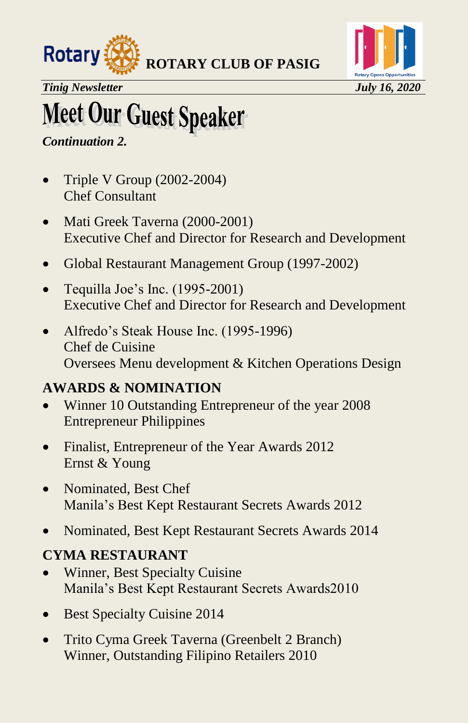



*Tinig Newsletter July 16, 2020*

# **Meet Our Guest Speaker**

#### *Continuation 2.*

- Triple V Group  $(2002-2004)$ Chef Consultant
- Mati Greek Taverna (2000-2001) Executive Chef and Director for Research and Development
- Global Restaurant Management Group (1997-2002)
- Tequilla Joe's Inc.  $(1995-2001)$ Executive Chef and Director for Research and Development
- Alfredo's Steak House Inc. (1995-1996) Chef de Cuisine Oversees Menu development & Kitchen Operations Design

### **AWARDS & NOMINATION**

- Winner 10 Outstanding Entrepreneur of the year 2008 Entrepreneur Philippines
- Finalist, Entrepreneur of the Year Awards 2012 Ernst & Young
- Nominated, Best Chef Manila's Best Kept Restaurant Secrets Awards 2012
- Nominated, Best Kept Restaurant Secrets Awards 2014

#### **CYMA RESTAURANT**

- Winner, Best Specialty Cuisine Manila's Best Kept Restaurant Secrets Awards2010
- Best Specialty Cuisine 2014
- Trito Cyma Greek Taverna (Greenbelt 2 Branch) Winner, Outstanding Filipino Retailers 2010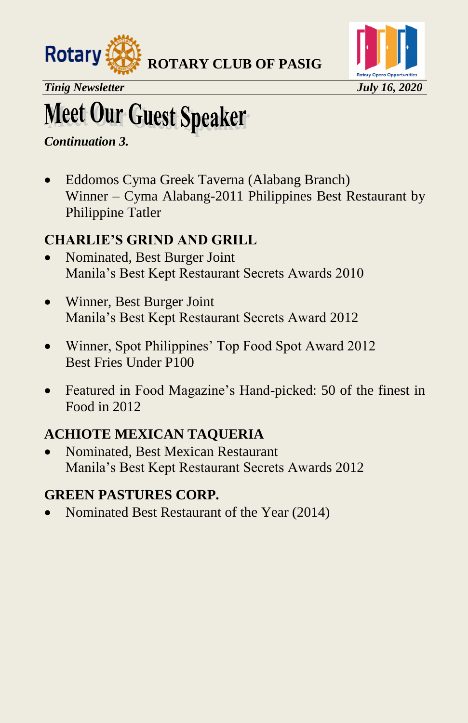



*Tinig Newsletter July 16, 2020* 

## **Meet Our Guest Speaker**

*Continuation 3.* 

 Eddomos Cyma Greek Taverna (Alabang Branch) Winner – Cyma Alabang-2011 Philippines Best Restaurant by Philippine Tatler

### **CHARLIE'S GRIND AND GRILL**

- Nominated, Best Burger Joint Manila's Best Kept Restaurant Secrets Awards 2010
- Winner, Best Burger Joint Manila's Best Kept Restaurant Secrets Award 2012
- Winner, Spot Philippines' Top Food Spot Award 2012 Best Fries Under P100
- Featured in Food Magazine's Hand-picked: 50 of the finest in Food in 2012

### **ACHIOTE MEXICAN TAQUERIA**

 Nominated, Best Mexican Restaurant Manila's Best Kept Restaurant Secrets Awards 2012

### **GREEN PASTURES CORP.**

Nominated Best Restaurant of the Year (2014)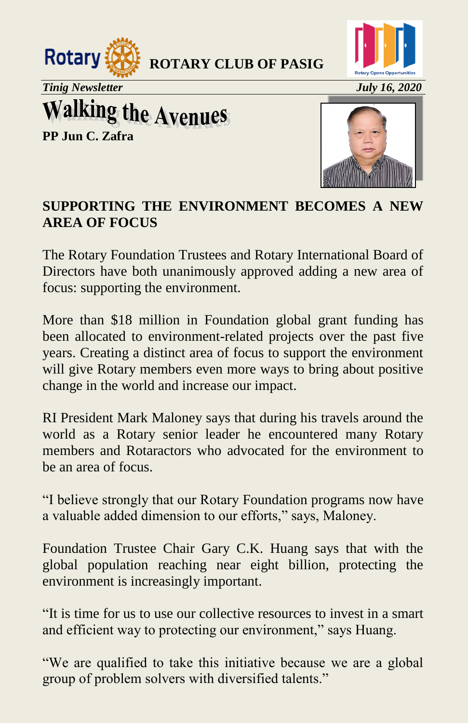



*Tinig Newsletter July 16, 2020*

**Walking the Avenues** 

**PP Jun C. Zafra**



#### **SUPPORTING THE ENVIRONMENT BECOMES A NEW AREA OF FOCUS**

The Rotary Foundation Trustees and Rotary International Board of Directors have both unanimously approved adding a new area of focus: supporting the environment.

More than \$18 million in Foundation global grant funding has been allocated to environment-related projects over the past five years. Creating a distinct area of focus to support the environment will give Rotary members even more ways to bring about positive change in the world and increase our impact.

RI President Mark Maloney says that during his travels around the world as a Rotary senior leader he encountered many Rotary members and Rotaractors who advocated for the environment to be an area of focus.

"I believe strongly that our Rotary Foundation programs now have a valuable added dimension to our efforts," says, Maloney.

Foundation Trustee Chair Gary C.K. Huang says that with the global population reaching near eight billion, protecting the environment is increasingly important.

"It is time for us to use our collective resources to invest in a smart and efficient way to protecting our environment," says Huang.

"We are qualified to take this initiative because we are a global group of problem solvers with diversified talents."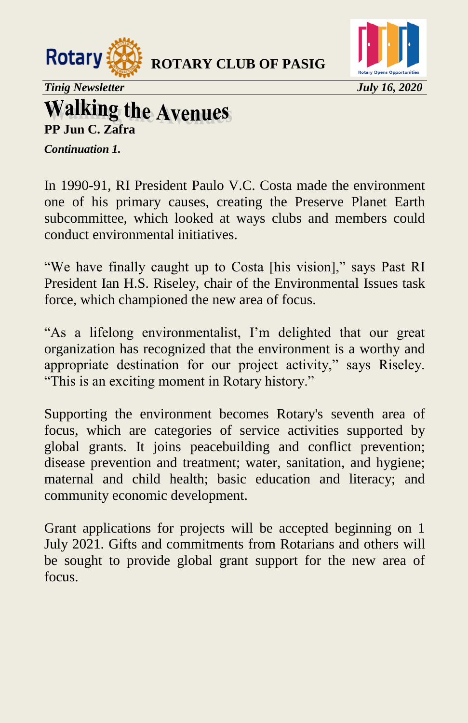



*Tinig Newsletter July 16, 2020* 

### **Walking the Avenues PP Jun C. Zafra**

*Continuation 1.* 

In 1990-91, RI President Paulo V.C. Costa made the environment one of his primary causes, creating the Preserve Planet Earth subcommittee, which looked at ways clubs and members could conduct environmental initiatives.

"We have finally caught up to Costa [his vision]," says Past RI President Ian H.S. Riseley, chair of the Environmental Issues task force, which championed the new area of focus.

"As a lifelong environmentalist, I'm delighted that our great organization has recognized that the environment is a worthy and appropriate destination for our project activity," says Riseley. "This is an exciting moment in Rotary history."

Supporting the environment becomes Rotary's seventh area of focus, which are categories of service activities supported by global grants. It joins peacebuilding and conflict prevention; disease prevention and treatment; water, sanitation, and hygiene; maternal and child health; basic education and literacy; and community economic development.

Grant applications for projects will be accepted beginning on 1 July 2021. Gifts and commitments from Rotarians and others will be sought to provide global grant support for the new area of focus.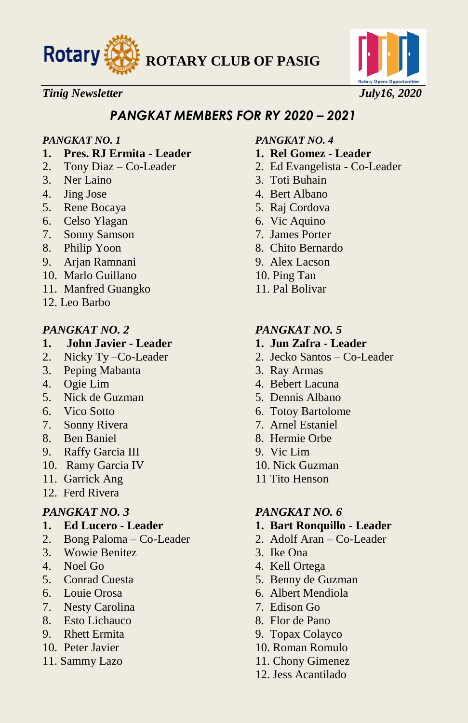



#### *PANGKAT MEMBERS FOR RY 2020 – 2021*

- **1. Pres. RJ Ermita - Leader 1. Rel Gomez - Leader**
- 
- 3. Ner Laino 3. Toti Buhain
- 
- 5. Rene Bocaya 5. Raj Cordova
- 6. Celso Ylagan 6. Vic Aquino
- 7. Sonny Samson 7. James Porter
- 
- 9. Arjan Ramnani 9. Alex Lacson
- 10. Marlo Guillano 10. Ping Tan
- 11. Manfred Guangko 11. Pal Bolivar
- 12. Leo Barbo

#### *PANGKAT NO. 2 PANGKAT NO. 5*

- **1. John Javier - Leader 1. Jun Zafra - Leader**
- 
- 3. Peping Mabanta 3. Ray Armas
- 
- 5. Nick de Guzman 5. Dennis Albano
- 
- 7. Sonny Rivera 7. Arnel Estaniel
- 
- 9. Raffy Garcia III 9. Vic Lim
- 10. Ramy Garcia IV 10. Nick Guzman
- 11. Garrick Ang 11 Tito Henson
- 12. Ferd Rivera

- 
- 2. Bong Paloma Co-Leader 2. Adolf Aran Co-Leader
- 3. Wowie Benitez 3. Ike Ona
- 
- 
- 
- 7. Nesty Carolina 7. Edison Go
- 8. Esto Lichauco 8. Flor de Pano
- 
- 
- 

#### *PANGKAT NO. 1 PANGKAT NO. 4*

- 
- 2. Tony Diaz Co-Leader 2. Ed Evangelista Co-Leader
	-
- 4. Jing Jose 4. Bert Albano
	-
	-
	-
- 8. Philip Yoon 8. Chito Bernardo
	-
	-
	-

- 
- 2. Nicky Ty –Co-Leader 2. Jecko Santos Co-Leader
	-
- 4. Ogie Lim 4. Bebert Lacuna
	-
- 6. Vico Sotto 6. Totoy Bartolome
	-
- 8. Ben Baniel 8. Hermie Orbe
	-
	-
	-

#### *PANGKAT NO. 3 PANGKAT NO. 6*

- **1. Ed Lucero - Leader 1. Bart Ronquillo - Leader**
	-
	-
- 4. Noel Go 4. Kell Ortega
- 5. Conrad Cuesta 5. Benny de Guzman
- 6. Louie Orosa 6. Albert Mendiola
	-
	-
- 9. Rhett Ermita 9. Topax Colayco
- 10. Peter Javier 10. Roman Romulo
- 11. Sammy Lazo 11. Chony Gimenez
	- 12. Jess Acantilado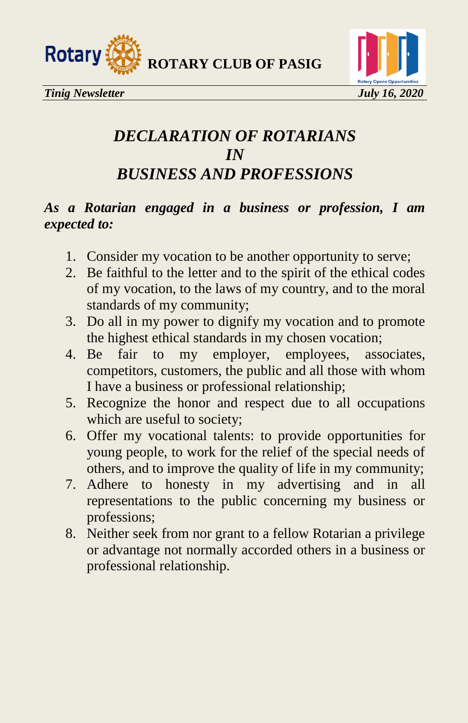



### *DECLARATION OF ROTARIANS IN BUSINESS AND PROFESSIONS*

#### *As a Rotarian engaged in a business or profession, I am expected to:*

- 1. Consider my vocation to be another opportunity to serve;
- 2. Be faithful to the letter and to the spirit of the ethical codes of my vocation, to the laws of my country, and to the moral standards of my community;
- 3. Do all in my power to dignify my vocation and to promote the highest ethical standards in my chosen vocation;
- 4. Be fair to my employer, employees, associates, competitors, customers, the public and all those with whom I have a business or professional relationship;
- 5. Recognize the honor and respect due to all occupations which are useful to society;
- 6. Offer my vocational talents: to provide opportunities for young people, to work for the relief of the special needs of others, and to improve the quality of life in my community;
- 7. Adhere to honesty in my advertising and in all representations to the public concerning my business or professions;
- 8. Neither seek from nor grant to a fellow Rotarian a privilege or advantage not normally accorded others in a business or professional relationship.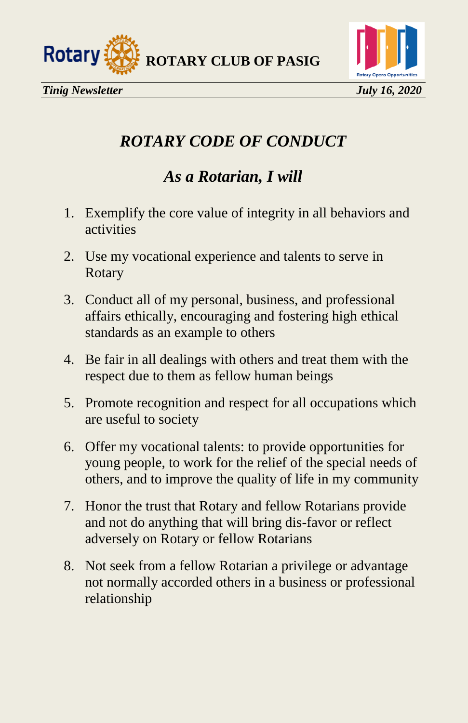



### *ROTARY CODE OF CONDUCT*

### *As a Rotarian, I will*

- 1. Exemplify the core value of integrity in all behaviors and activities
- 2. Use my vocational experience and talents to serve in Rotary
- 3. Conduct all of my personal, business, and professional affairs ethically, encouraging and fostering high ethical standards as an example to others
- 4. Be fair in all dealings with others and treat them with the respect due to them as fellow human beings
- 5. Promote recognition and respect for all occupations which are useful to society
- 6. Offer my vocational talents: to provide opportunities for young people, to work for the relief of the special needs of others, and to improve the quality of life in my community
- 7. Honor the trust that Rotary and fellow Rotarians provide and not do anything that will bring dis-favor or reflect adversely on Rotary or fellow Rotarians
- 8. Not seek from a fellow Rotarian a privilege or advantage not normally accorded others in a business or professional relationship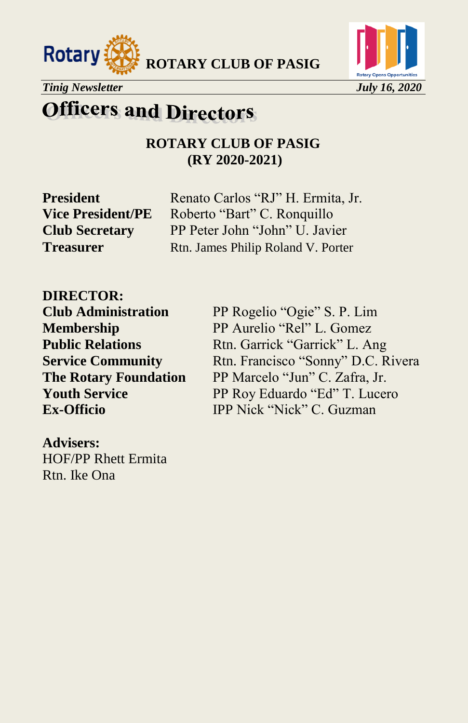





### **Officers and Directors**

#### **ROTARY CLUB OF PASIG (RY 2020-2021)**

**President** Renato Carlos "RJ" H. Ermita, Jr. **Vice President/PE** Roberto "Bart" C. Ronquillo **Club Secretary** PP Peter John "John" U. Javier **Treasurer** Rtn. James Philip Roland V. Porter

**DIRECTOR: Club Administration** PP Rogelio "Ogie" S. P. Lim

**Membership** PP Aurelio "Rel" L. Gomez **Public Relations** Rtn. Garrick "Garrick" L. Ang **Service Community** Rtn. Francisco "Sonny" D.C. Rivera **The Rotary Foundation** PP Marcelo "Jun" C. Zafra, Jr. **Youth Service** PP Roy Eduardo "Ed" T. Lucero **Ex-Officio IPP Nick "Nick" C. Guzman** 

**Advisers:**  HOF/PP Rhett Ermita Rtn. Ike Ona